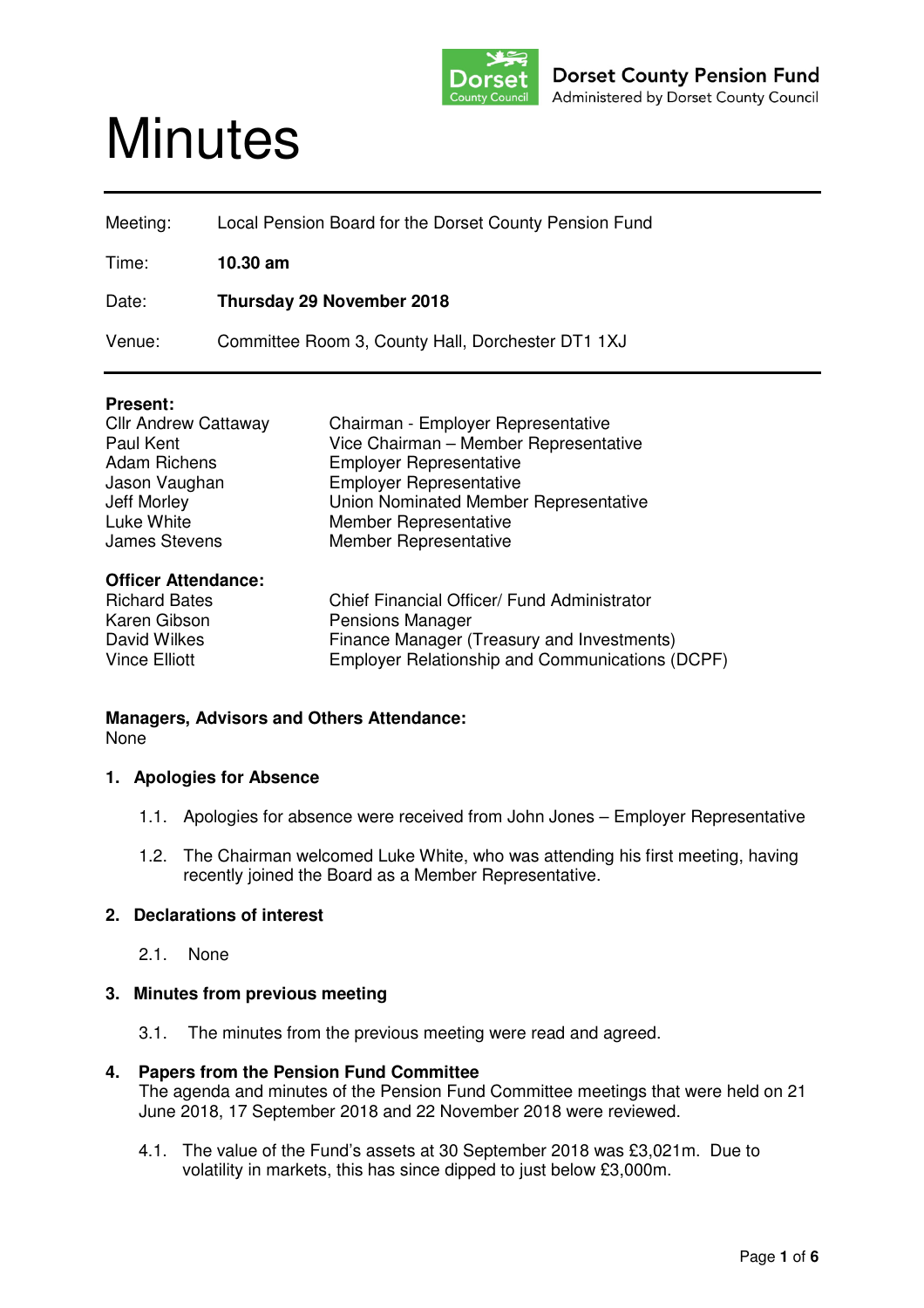

# **Minutes**

| Local Pension Board for the Dorset County Pension Fund |
|--------------------------------------------------------|
| $10.30$ am                                             |
| <b>Thursday 29 November 2018</b>                       |
| Committee Room 3, County Hall, Dorchester DT1 1XJ      |
|                                                        |

## **Present:**

| <b>Cllr Andrew Cattaway</b>                                                        | Chairman - Employer Representative                                                                                   |
|------------------------------------------------------------------------------------|----------------------------------------------------------------------------------------------------------------------|
| Paul Kent                                                                          | Vice Chairman - Member Representative                                                                                |
| <b>Adam Richens</b>                                                                | <b>Employer Representative</b>                                                                                       |
| Jason Vaughan                                                                      | <b>Employer Representative</b>                                                                                       |
| Jeff Morley                                                                        | Union Nominated Member Representative                                                                                |
| Luke White                                                                         | Member Representative                                                                                                |
| <b>James Stevens</b>                                                               | Member Representative                                                                                                |
| <b>Officer Attendance:</b><br><b>Richard Bates</b><br>Karen Gibson<br>David Wilkes | Chief Financial Officer/ Fund Administrator<br><b>Pensions Manager</b><br>Finance Manager (Treasury and Investments) |

Vince Elliott Employer Relationship and Communications (DCPF)

# **Managers, Advisors and Others Attendance:**  None

# **1. Apologies for Absence**

- 1.1. Apologies for absence were received from John Jones Employer Representative
- 1.2. The Chairman welcomed Luke White, who was attending his first meeting, having recently joined the Board as a Member Representative.

# **2. Declarations of interest**

2.1. None

# **3. Minutes from previous meeting**

3.1. The minutes from the previous meeting were read and agreed.

## **4. Papers from the Pension Fund Committee**

The agenda and minutes of the Pension Fund Committee meetings that were held on 21 June 2018, 17 September 2018 and 22 November 2018 were reviewed.

4.1. The value of the Fund's assets at 30 September 2018 was £3,021m. Due to volatility in markets, this has since dipped to just below £3,000m.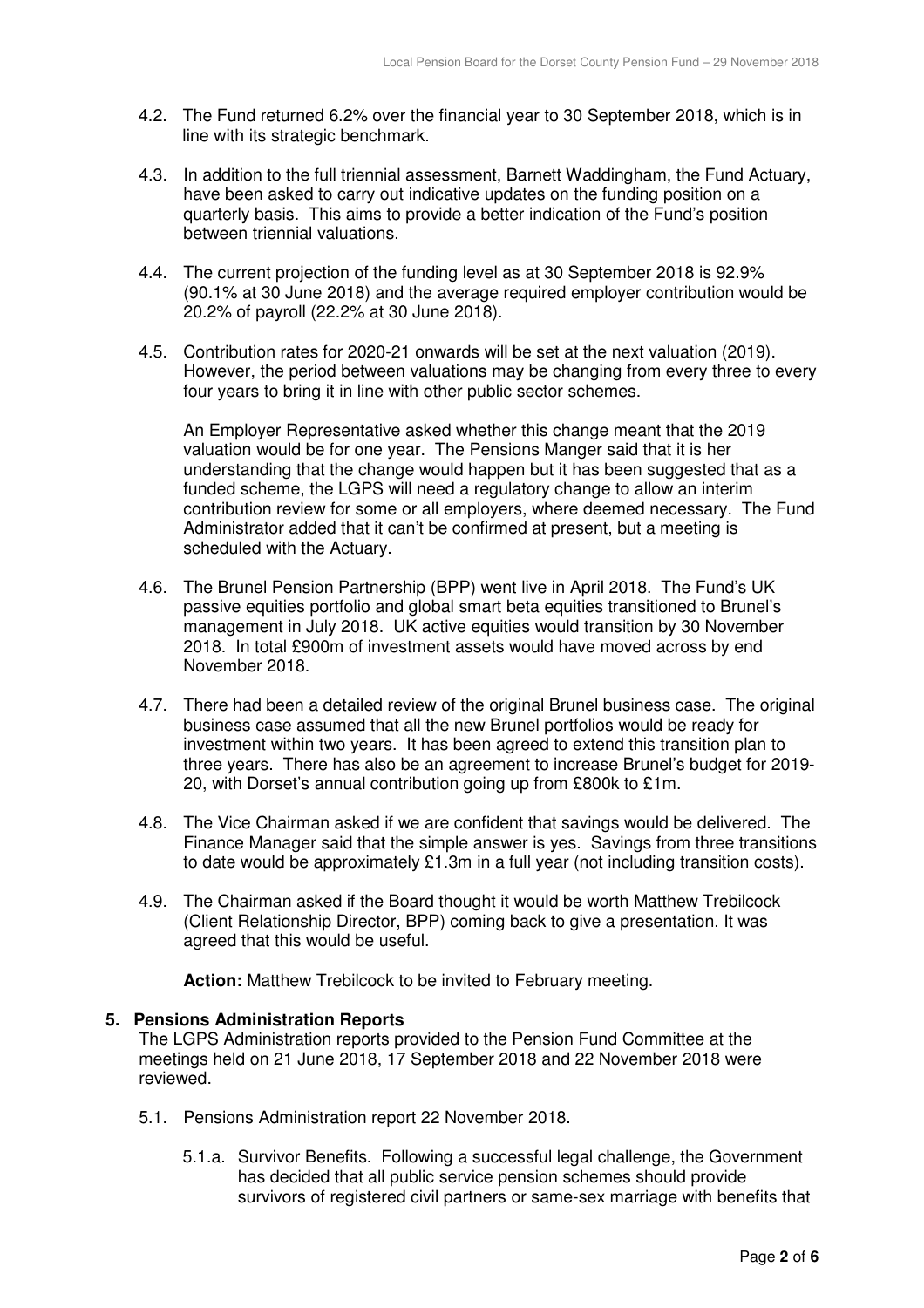- 4.2. The Fund returned 6.2% over the financial year to 30 September 2018, which is in line with its strategic benchmark.
- 4.3. In addition to the full triennial assessment, Barnett Waddingham, the Fund Actuary, have been asked to carry out indicative updates on the funding position on a quarterly basis. This aims to provide a better indication of the Fund's position between triennial valuations.
- 4.4. The current projection of the funding level as at 30 September 2018 is 92.9% (90.1% at 30 June 2018) and the average required employer contribution would be 20.2% of payroll (22.2% at 30 June 2018).
- 4.5. Contribution rates for 2020-21 onwards will be set at the next valuation (2019). However, the period between valuations may be changing from every three to every four years to bring it in line with other public sector schemes.

An Employer Representative asked whether this change meant that the 2019 valuation would be for one year. The Pensions Manger said that it is her understanding that the change would happen but it has been suggested that as a funded scheme, the LGPS will need a regulatory change to allow an interim contribution review for some or all employers, where deemed necessary. The Fund Administrator added that it can't be confirmed at present, but a meeting is scheduled with the Actuary.

- 4.6. The Brunel Pension Partnership (BPP) went live in April 2018. The Fund's UK passive equities portfolio and global smart beta equities transitioned to Brunel's management in July 2018. UK active equities would transition by 30 November 2018. In total £900m of investment assets would have moved across by end November 2018.
- 4.7. There had been a detailed review of the original Brunel business case. The original business case assumed that all the new Brunel portfolios would be ready for investment within two years. It has been agreed to extend this transition plan to three years. There has also be an agreement to increase Brunel's budget for 2019- 20, with Dorset's annual contribution going up from £800k to £1m.
- 4.8. The Vice Chairman asked if we are confident that savings would be delivered. The Finance Manager said that the simple answer is yes. Savings from three transitions to date would be approximately £1.3m in a full year (not including transition costs).
- 4.9. The Chairman asked if the Board thought it would be worth Matthew Trebilcock (Client Relationship Director, BPP) coming back to give a presentation. It was agreed that this would be useful.

**Action:** Matthew Trebilcock to be invited to February meeting.

## **5. Pensions Administration Reports**

The LGPS Administration reports provided to the Pension Fund Committee at the meetings held on 21 June 2018, 17 September 2018 and 22 November 2018 were reviewed.

- 5.1. Pensions Administration report 22 November 2018.
	- 5.1.a. Survivor Benefits. Following a successful legal challenge, the Government has decided that all public service pension schemes should provide survivors of registered civil partners or same-sex marriage with benefits that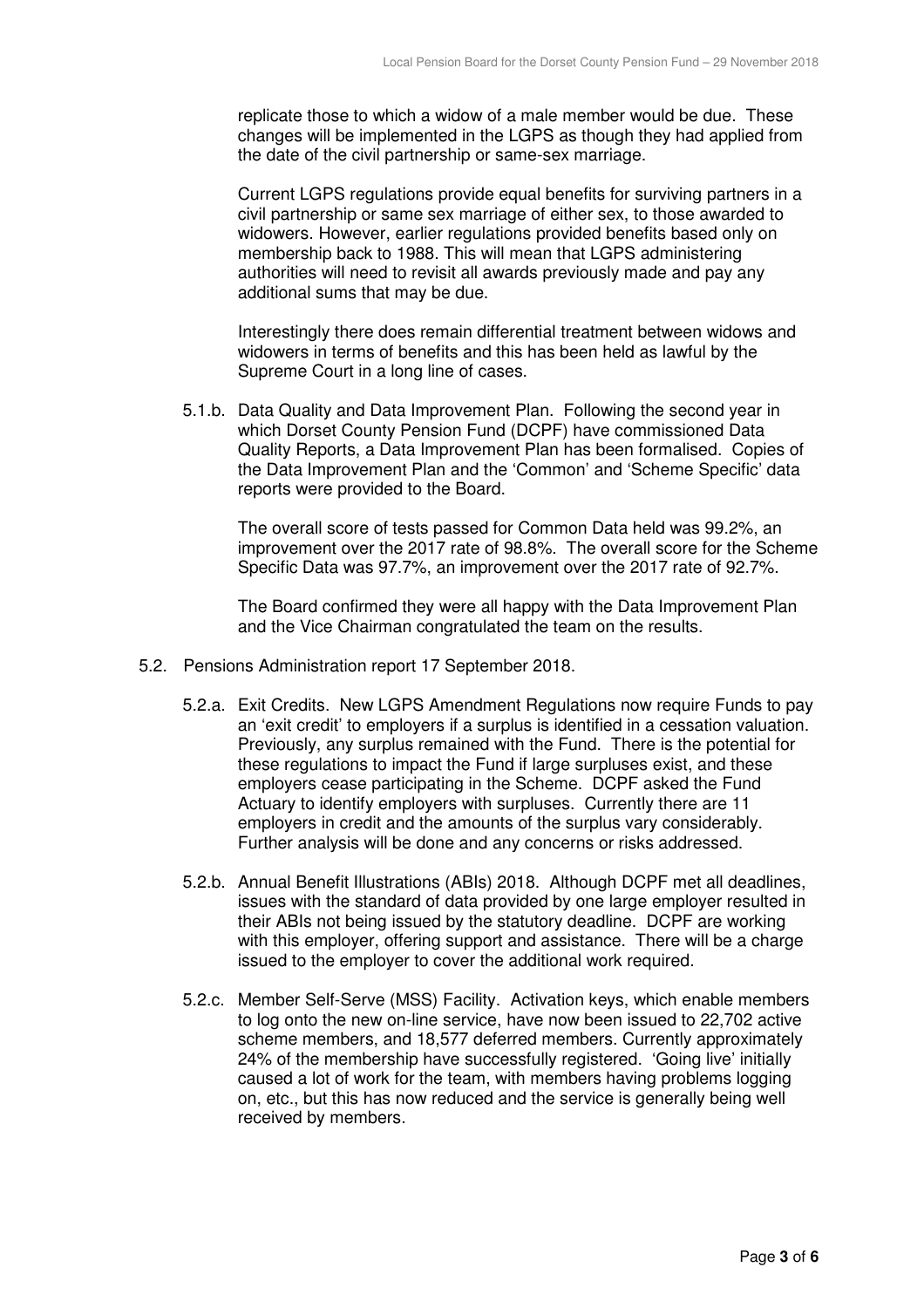replicate those to which a widow of a male member would be due. These changes will be implemented in the LGPS as though they had applied from the date of the civil partnership or same-sex marriage.

Current LGPS regulations provide equal benefits for surviving partners in a civil partnership or same sex marriage of either sex, to those awarded to widowers. However, earlier regulations provided benefits based only on membership back to 1988. This will mean that LGPS administering authorities will need to revisit all awards previously made and pay any additional sums that may be due.

Interestingly there does remain differential treatment between widows and widowers in terms of benefits and this has been held as lawful by the Supreme Court in a long line of cases.

5.1.b. Data Quality and Data Improvement Plan. Following the second year in which Dorset County Pension Fund (DCPF) have commissioned Data Quality Reports, a Data Improvement Plan has been formalised. Copies of the Data Improvement Plan and the 'Common' and 'Scheme Specific' data reports were provided to the Board.

The overall score of tests passed for Common Data held was 99.2%, an improvement over the 2017 rate of 98.8%. The overall score for the Scheme Specific Data was 97.7%, an improvement over the 2017 rate of 92.7%.

The Board confirmed they were all happy with the Data Improvement Plan and the Vice Chairman congratulated the team on the results.

- 5.2. Pensions Administration report 17 September 2018.
	- 5.2.a. Exit Credits. New LGPS Amendment Regulations now require Funds to pay an 'exit credit' to employers if a surplus is identified in a cessation valuation. Previously, any surplus remained with the Fund. There is the potential for these regulations to impact the Fund if large surpluses exist, and these employers cease participating in the Scheme. DCPF asked the Fund Actuary to identify employers with surpluses. Currently there are 11 employers in credit and the amounts of the surplus vary considerably. Further analysis will be done and any concerns or risks addressed.
	- 5.2.b. Annual Benefit Illustrations (ABIs) 2018. Although DCPF met all deadlines, issues with the standard of data provided by one large employer resulted in their ABIs not being issued by the statutory deadline. DCPF are working with this employer, offering support and assistance. There will be a charge issued to the employer to cover the additional work required.
	- 5.2.c. Member Self-Serve (MSS) Facility. Activation keys, which enable members to log onto the new on-line service, have now been issued to 22,702 active scheme members, and 18,577 deferred members. Currently approximately 24% of the membership have successfully registered. 'Going live' initially caused a lot of work for the team, with members having problems logging on, etc., but this has now reduced and the service is generally being well received by members.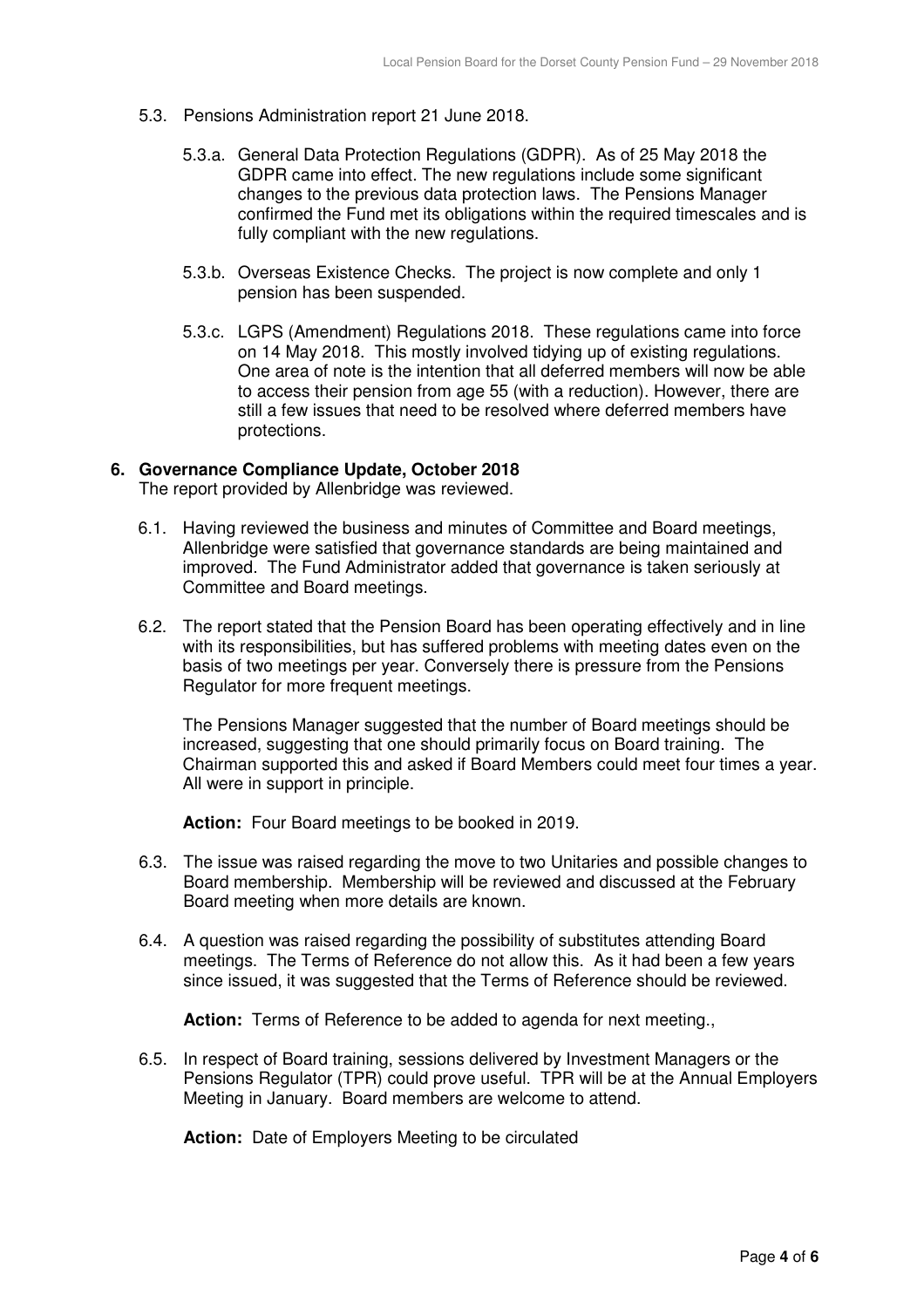- 5.3. Pensions Administration report 21 June 2018.
	- 5.3.a. General Data Protection Regulations (GDPR). As of 25 May 2018 the GDPR came into effect. The new regulations include some significant changes to the previous data protection laws. The Pensions Manager confirmed the Fund met its obligations within the required timescales and is fully compliant with the new regulations.
	- 5.3.b. Overseas Existence Checks. The project is now complete and only 1 pension has been suspended.
	- 5.3.c. LGPS (Amendment) Regulations 2018. These regulations came into force on 14 May 2018. This mostly involved tidying up of existing regulations. One area of note is the intention that all deferred members will now be able to access their pension from age 55 (with a reduction). However, there are still a few issues that need to be resolved where deferred members have protections.

## **6. Governance Compliance Update, October 2018**

The report provided by Allenbridge was reviewed.

- 6.1. Having reviewed the business and minutes of Committee and Board meetings, Allenbridge were satisfied that governance standards are being maintained and improved. The Fund Administrator added that governance is taken seriously at Committee and Board meetings.
- 6.2. The report stated that the Pension Board has been operating effectively and in line with its responsibilities, but has suffered problems with meeting dates even on the basis of two meetings per year. Conversely there is pressure from the Pensions Regulator for more frequent meetings.

The Pensions Manager suggested that the number of Board meetings should be increased, suggesting that one should primarily focus on Board training. The Chairman supported this and asked if Board Members could meet four times a year. All were in support in principle.

**Action:** Four Board meetings to be booked in 2019.

- 6.3. The issue was raised regarding the move to two Unitaries and possible changes to Board membership. Membership will be reviewed and discussed at the February Board meeting when more details are known.
- 6.4. A question was raised regarding the possibility of substitutes attending Board meetings. The Terms of Reference do not allow this. As it had been a few years since issued, it was suggested that the Terms of Reference should be reviewed.

**Action:** Terms of Reference to be added to agenda for next meeting.,

6.5. In respect of Board training, sessions delivered by Investment Managers or the Pensions Regulator (TPR) could prove useful. TPR will be at the Annual Employers Meeting in January. Board members are welcome to attend.

**Action:** Date of Employers Meeting to be circulated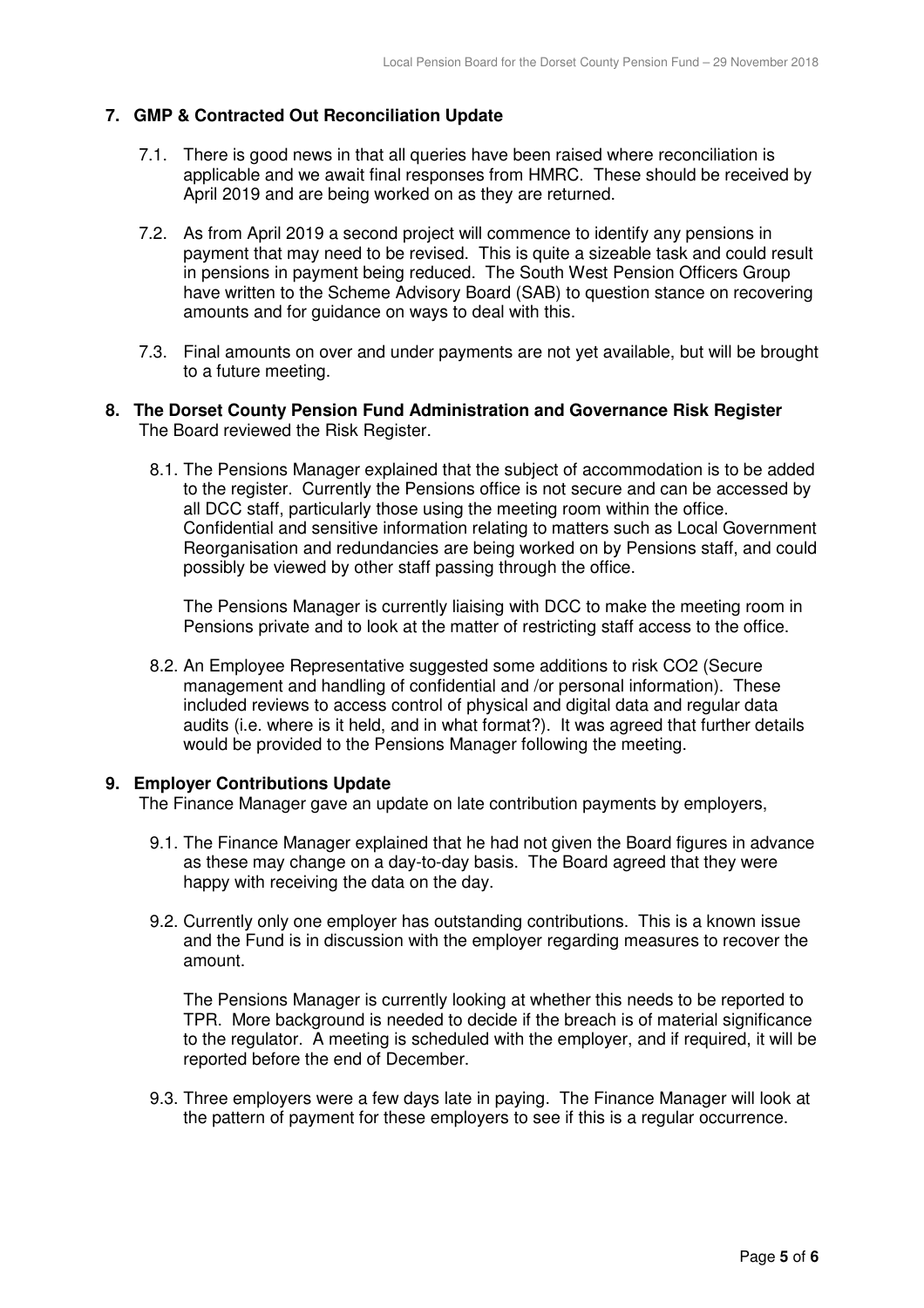# **7. GMP & Contracted Out Reconciliation Update**

- 7.1. There is good news in that all queries have been raised where reconciliation is applicable and we await final responses from HMRC. These should be received by April 2019 and are being worked on as they are returned.
- 7.2. As from April 2019 a second project will commence to identify any pensions in payment that may need to be revised. This is quite a sizeable task and could result in pensions in payment being reduced. The South West Pension Officers Group have written to the Scheme Advisory Board (SAB) to question stance on recovering amounts and for guidance on ways to deal with this.
- 7.3. Final amounts on over and under payments are not yet available, but will be brought to a future meeting.

## **8. The Dorset County Pension Fund Administration and Governance Risk Register**  The Board reviewed the Risk Register.

8.1. The Pensions Manager explained that the subject of accommodation is to be added to the register. Currently the Pensions office is not secure and can be accessed by all DCC staff, particularly those using the meeting room within the office. Confidential and sensitive information relating to matters such as Local Government Reorganisation and redundancies are being worked on by Pensions staff, and could possibly be viewed by other staff passing through the office.

The Pensions Manager is currently liaising with DCC to make the meeting room in Pensions private and to look at the matter of restricting staff access to the office.

8.2. An Employee Representative suggested some additions to risk CO2 (Secure management and handling of confidential and /or personal information). These included reviews to access control of physical and digital data and regular data audits (i.e. where is it held, and in what format?). It was agreed that further details would be provided to the Pensions Manager following the meeting.

# **9. Employer Contributions Update**

The Finance Manager gave an update on late contribution payments by employers,

- 9.1. The Finance Manager explained that he had not given the Board figures in advance as these may change on a day-to-day basis. The Board agreed that they were happy with receiving the data on the day.
- 9.2. Currently only one employer has outstanding contributions. This is a known issue and the Fund is in discussion with the employer regarding measures to recover the amount.

The Pensions Manager is currently looking at whether this needs to be reported to TPR. More background is needed to decide if the breach is of material significance to the regulator. A meeting is scheduled with the employer, and if required, it will be reported before the end of December.

9.3. Three employers were a few days late in paying. The Finance Manager will look at the pattern of payment for these employers to see if this is a regular occurrence.